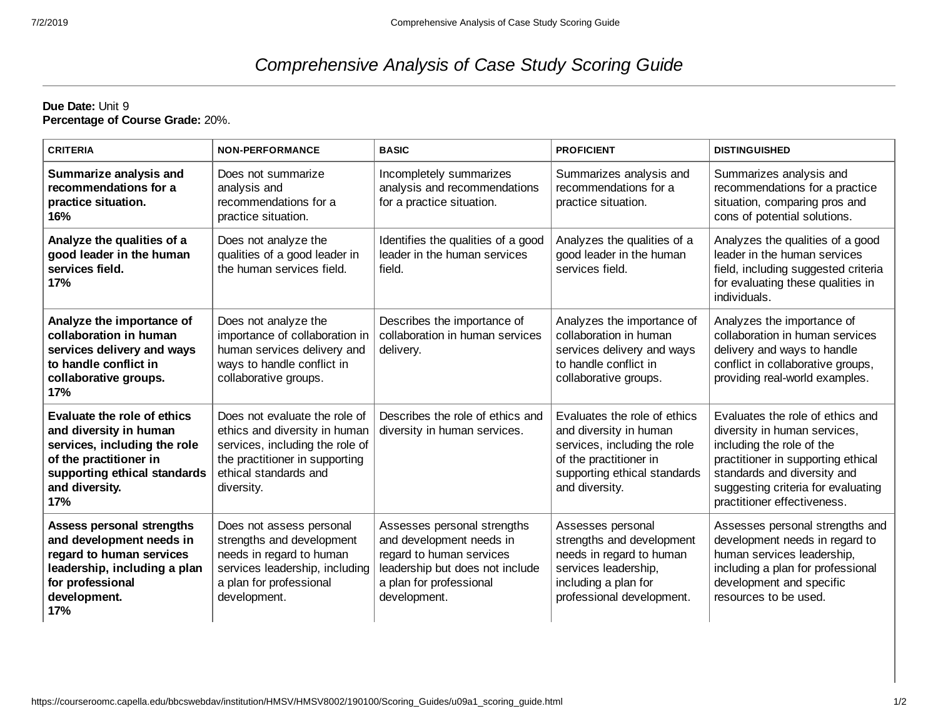## *Comprehensive Analysis of Case Study Scoring Guide*

**Due Date:** Unit 9 **Percentage of Course Grade:** 20%.

| <b>CRITERIA</b>                                                                                                                                                          | <b>NON-PERFORMANCE</b>                                                                                                                                                     | <b>BASIC</b>                                                                                                                                                      | <b>PROFICIENT</b>                                                                                                                                                  | <b>DISTINGUISHED</b>                                                                                                                                                                                                                    |
|--------------------------------------------------------------------------------------------------------------------------------------------------------------------------|----------------------------------------------------------------------------------------------------------------------------------------------------------------------------|-------------------------------------------------------------------------------------------------------------------------------------------------------------------|--------------------------------------------------------------------------------------------------------------------------------------------------------------------|-----------------------------------------------------------------------------------------------------------------------------------------------------------------------------------------------------------------------------------------|
| Summarize analysis and<br>recommendations for a<br>practice situation.<br>16%                                                                                            | Does not summarize<br>analysis and<br>recommendations for a<br>practice situation.                                                                                         | Incompletely summarizes<br>analysis and recommendations<br>for a practice situation.                                                                              | Summarizes analysis and<br>recommendations for a<br>practice situation.                                                                                            | Summarizes analysis and<br>recommendations for a practice<br>situation, comparing pros and<br>cons of potential solutions.                                                                                                              |
| Analyze the qualities of a<br>good leader in the human<br>services field.<br>17%                                                                                         | Does not analyze the<br>qualities of a good leader in<br>the human services field.                                                                                         | Identifies the qualities of a good<br>leader in the human services<br>field.                                                                                      | Analyzes the qualities of a<br>good leader in the human<br>services field.                                                                                         | Analyzes the qualities of a good<br>leader in the human services<br>field, including suggested criteria<br>for evaluating these qualities in<br>individuals.                                                                            |
| Analyze the importance of<br>collaboration in human<br>services delivery and ways<br>to handle conflict in<br>collaborative groups.<br>17%                               | Does not analyze the<br>importance of collaboration in<br>human services delivery and<br>ways to handle conflict in<br>collaborative groups.                               | Describes the importance of<br>collaboration in human services<br>delivery.                                                                                       | Analyzes the importance of<br>collaboration in human<br>services delivery and ways<br>to handle conflict in<br>collaborative groups.                               | Analyzes the importance of<br>collaboration in human services<br>delivery and ways to handle<br>conflict in collaborative groups,<br>providing real-world examples.                                                                     |
| Evaluate the role of ethics<br>and diversity in human<br>services, including the role<br>of the practitioner in<br>supporting ethical standards<br>and diversity.<br>17% | Does not evaluate the role of<br>ethics and diversity in human<br>services, including the role of<br>the practitioner in supporting<br>ethical standards and<br>diversity. | Describes the role of ethics and<br>diversity in human services.                                                                                                  | Evaluates the role of ethics<br>and diversity in human<br>services, including the role<br>of the practitioner in<br>supporting ethical standards<br>and diversity. | Evaluates the role of ethics and<br>diversity in human services,<br>including the role of the<br>practitioner in supporting ethical<br>standards and diversity and<br>suggesting criteria for evaluating<br>practitioner effectiveness. |
| <b>Assess personal strengths</b><br>and development needs in<br>regard to human services<br>leadership, including a plan<br>for professional<br>development.<br>17%      | Does not assess personal<br>strengths and development<br>needs in regard to human<br>services leadership, including<br>a plan for professional<br>development.             | Assesses personal strengths<br>and development needs in<br>regard to human services<br>leadership but does not include<br>a plan for professional<br>development. | Assesses personal<br>strengths and development<br>needs in regard to human<br>services leadership,<br>including a plan for<br>professional development.            | Assesses personal strengths and<br>development needs in regard to<br>human services leadership,<br>including a plan for professional<br>development and specific<br>resources to be used.                                               |